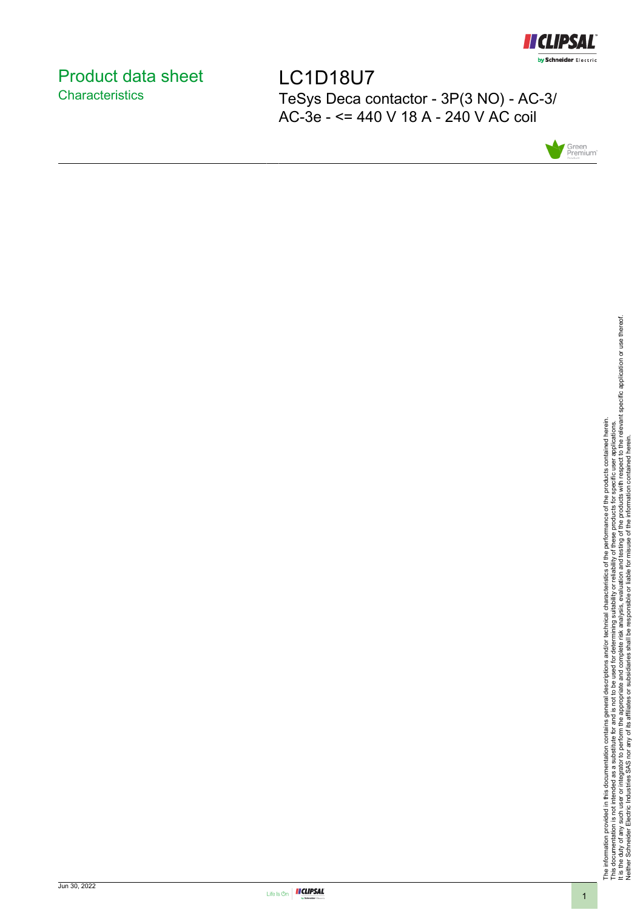

# <span id="page-0-0"></span>Product data sheet **Characteristics**

LC1D18U7 TeSys Deca contactor - 3P(3 NO) - AC-3/ AC-3e - <= 440 V 18 A - 240 V AC coil



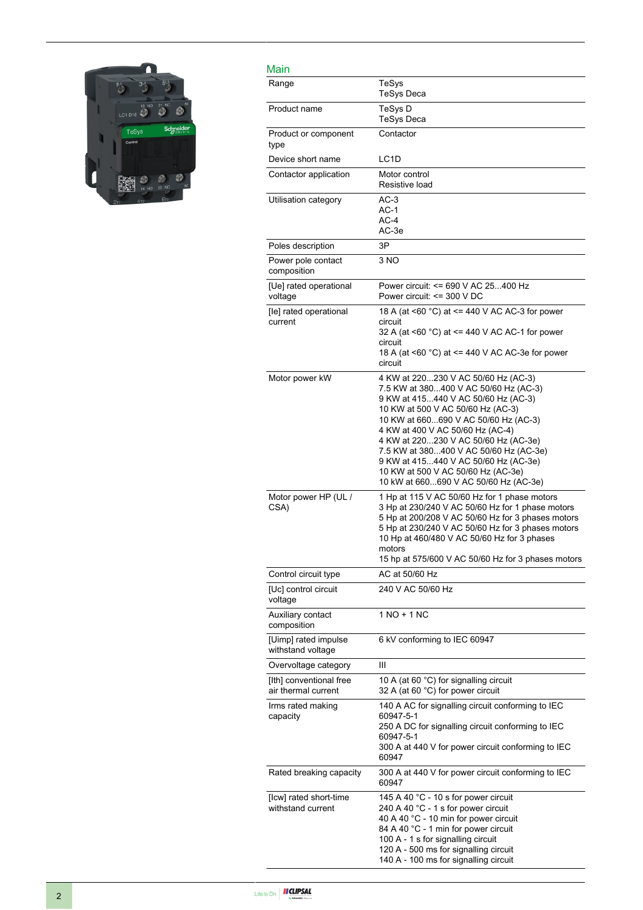

| Main                                           |                                                                                                                                                                                                                                                                                                                                                                                                                                               |
|------------------------------------------------|-----------------------------------------------------------------------------------------------------------------------------------------------------------------------------------------------------------------------------------------------------------------------------------------------------------------------------------------------------------------------------------------------------------------------------------------------|
| Range                                          | TeSys<br><b>TeSys Deca</b>                                                                                                                                                                                                                                                                                                                                                                                                                    |
| Product name                                   | TeSys D<br><b>TeSys Deca</b>                                                                                                                                                                                                                                                                                                                                                                                                                  |
| Product or component<br>type                   | Contactor                                                                                                                                                                                                                                                                                                                                                                                                                                     |
| Device short name                              | LC <sub>1</sub> D                                                                                                                                                                                                                                                                                                                                                                                                                             |
| Contactor application                          | Motor control<br>Resistive load                                                                                                                                                                                                                                                                                                                                                                                                               |
| Utilisation category                           | $AC-3$<br>$AC-1$<br>$AC-4$<br>AC-3e                                                                                                                                                                                                                                                                                                                                                                                                           |
| Poles description                              | 3P                                                                                                                                                                                                                                                                                                                                                                                                                                            |
| Power pole contact<br>composition              | 3 NO                                                                                                                                                                                                                                                                                                                                                                                                                                          |
| [Ue] rated operational<br>voltage              | Power circuit: <= 690 V AC 25400 Hz<br>Power circuit: $\leq$ 300 V DC                                                                                                                                                                                                                                                                                                                                                                         |
| [le] rated operational<br>current              | 18 A (at <60 °C) at <= 440 V AC AC-3 for power<br>circuit<br>32 A (at <60 °C) at <= 440 V AC AC-1 for power<br>circuit<br>18 A (at <60 °C) at <= 440 V AC AC-3e for power<br>circuit                                                                                                                                                                                                                                                          |
| Motor power kW                                 | 4 KW at 220230 V AC 50/60 Hz (AC-3)<br>7.5 KW at 380400 V AC 50/60 Hz (AC-3)<br>9 KW at 415440 V AC 50/60 Hz (AC-3)<br>10 KW at 500 V AC 50/60 Hz (AC-3)<br>10 KW at 660690 V AC 50/60 Hz (AC-3)<br>4 KW at 400 V AC 50/60 Hz (AC-4)<br>4 KW at 220230 V AC 50/60 Hz (AC-3e)<br>7.5 KW at 380400 V AC 50/60 Hz (AC-3e)<br>9 KW at 415440 V AC 50/60 Hz (AC-3e)<br>10 KW at 500 V AC 50/60 Hz (AC-3e)<br>10 kW at 660690 V AC 50/60 Hz (AC-3e) |
| Motor power HP (UL /<br>CSA)                   | 1 Hp at 115 V AC 50/60 Hz for 1 phase motors<br>3 Hp at 230/240 V AC 50/60 Hz for 1 phase motors<br>5 Hp at 200/208 V AC 50/60 Hz for 3 phases motors<br>5 Hp at 230/240 V AC 50/60 Hz for 3 phases motors<br>10 Hp at 460/480 V AC 50/60 Hz for 3 phases<br>motors<br>15 hp at 575/600 V AC 50/60 Hz for 3 phases motors                                                                                                                     |
| Control circuit type                           | AC at 50/60 Hz                                                                                                                                                                                                                                                                                                                                                                                                                                |
| [Uc] control circuit<br>voltage                | 240 V AC 50/60 Hz                                                                                                                                                                                                                                                                                                                                                                                                                             |
| Auxiliary contact<br>composition               | 1 NO + 1 NC                                                                                                                                                                                                                                                                                                                                                                                                                                   |
| [Uimp] rated impulse<br>withstand voltage      | 6 kV conforming to IEC 60947                                                                                                                                                                                                                                                                                                                                                                                                                  |
| Overvoltage category                           | Ш                                                                                                                                                                                                                                                                                                                                                                                                                                             |
| [Ith] conventional free<br>air thermal current | 10 A (at 60 °C) for signalling circuit<br>32 A (at 60 °C) for power circuit                                                                                                                                                                                                                                                                                                                                                                   |
| Irms rated making<br>capacity                  | 140 A AC for signalling circuit conforming to IEC<br>60947-5-1<br>250 A DC for signalling circuit conforming to IEC<br>60947-5-1<br>300 A at 440 V for power circuit conforming to IEC<br>60947                                                                                                                                                                                                                                               |
| Rated breaking capacity                        | 300 A at 440 V for power circuit conforming to IEC<br>60947                                                                                                                                                                                                                                                                                                                                                                                   |
| [Icw] rated short-time<br>withstand current    | 145 A 40 °C - 10 s for power circuit<br>240 A 40 °C - 1 s for power circuit<br>40 A 40 °C - 10 min for power circuit<br>84 A 40 °C - 1 min for power circuit<br>100 A - 1 s for signalling circuit<br>120 A - 500 ms for signalling circuit<br>140 A - 100 ms for signalling circuit                                                                                                                                                          |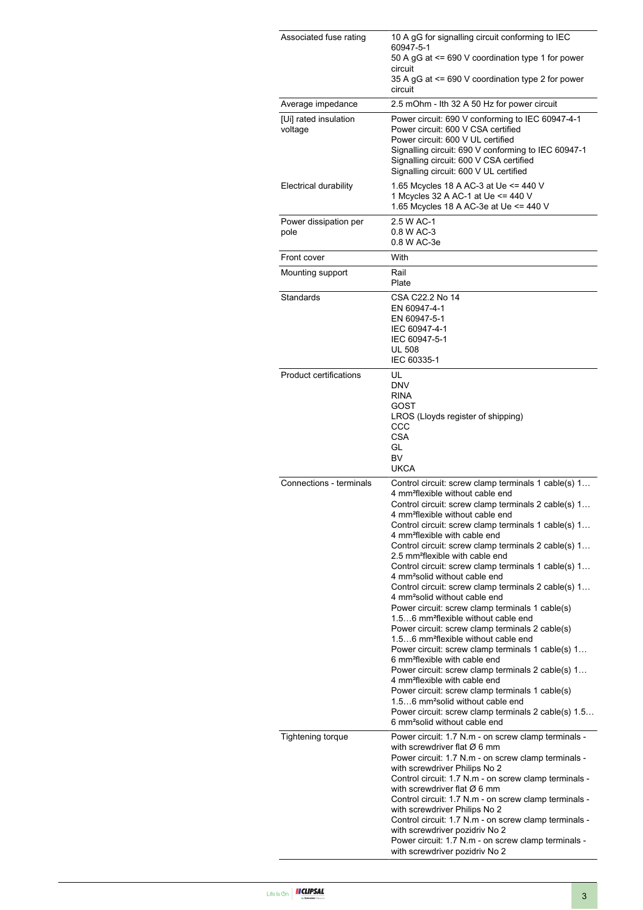| Associated fuse rating           | 10 A gG for signalling circuit conforming to IEC<br>60947-5-1<br>50 A gG at <= 690 V coordination type 1 for power<br>circuit<br>35 A gG at <= 690 V coordination type 2 for power<br>circuit                                                                                                                                                                                                                                                                                                                                                                                                                                                                                                                                                                                                                                                                                                                                                                                                                                                                                                                                                                                                                                                       |
|----------------------------------|-----------------------------------------------------------------------------------------------------------------------------------------------------------------------------------------------------------------------------------------------------------------------------------------------------------------------------------------------------------------------------------------------------------------------------------------------------------------------------------------------------------------------------------------------------------------------------------------------------------------------------------------------------------------------------------------------------------------------------------------------------------------------------------------------------------------------------------------------------------------------------------------------------------------------------------------------------------------------------------------------------------------------------------------------------------------------------------------------------------------------------------------------------------------------------------------------------------------------------------------------------|
| Average impedance                | 2.5 mOhm - Ith 32 A 50 Hz for power circuit                                                                                                                                                                                                                                                                                                                                                                                                                                                                                                                                                                                                                                                                                                                                                                                                                                                                                                                                                                                                                                                                                                                                                                                                         |
| [Ui] rated insulation<br>voltage | Power circuit: 690 V conforming to IEC 60947-4-1<br>Power circuit: 600 V CSA certified<br>Power circuit: 600 V UL certified<br>Signalling circuit: 690 V conforming to IEC 60947-1<br>Signalling circuit: 600 V CSA certified<br>Signalling circuit: 600 V UL certified                                                                                                                                                                                                                                                                                                                                                                                                                                                                                                                                                                                                                                                                                                                                                                                                                                                                                                                                                                             |
| Electrical durability            | 1.65 Mcycles 18 A AC-3 at Ue <= 440 V<br>1 Mcycles 32 A AC-1 at Ue <= 440 V<br>1.65 Mcycles 18 A AC-3e at Ue <= 440 V                                                                                                                                                                                                                                                                                                                                                                                                                                                                                                                                                                                                                                                                                                                                                                                                                                                                                                                                                                                                                                                                                                                               |
| Power dissipation per<br>pole    | 2.5 W AC-1<br>0.8 W AC-3<br>0.8 W AC-3e                                                                                                                                                                                                                                                                                                                                                                                                                                                                                                                                                                                                                                                                                                                                                                                                                                                                                                                                                                                                                                                                                                                                                                                                             |
| Front cover                      | With                                                                                                                                                                                                                                                                                                                                                                                                                                                                                                                                                                                                                                                                                                                                                                                                                                                                                                                                                                                                                                                                                                                                                                                                                                                |
| Mounting support                 | Rail<br>Plate                                                                                                                                                                                                                                                                                                                                                                                                                                                                                                                                                                                                                                                                                                                                                                                                                                                                                                                                                                                                                                                                                                                                                                                                                                       |
| Standards                        | CSA C22.2 No 14<br>EN 60947-4-1<br>EN 60947-5-1<br>IEC 60947-4-1<br>IEC 60947-5-1<br><b>UL 508</b><br>IEC 60335-1                                                                                                                                                                                                                                                                                                                                                                                                                                                                                                                                                                                                                                                                                                                                                                                                                                                                                                                                                                                                                                                                                                                                   |
| <b>Product certifications</b>    | UL<br><b>DNV</b><br><b>RINA</b><br>GOST<br>LROS (Lloyds register of shipping)<br>CCC<br><b>CSA</b><br>GL<br><b>BV</b><br><b>UKCA</b>                                                                                                                                                                                                                                                                                                                                                                                                                                                                                                                                                                                                                                                                                                                                                                                                                                                                                                                                                                                                                                                                                                                |
| Connections - terminals          | Control circuit: screw clamp terminals 1 cable(s) 1<br>4 mm <sup>2</sup> flexible without cable end<br>Control circuit: screw clamp terminals 2 cable(s) 1<br>4 mm <sup>2</sup> flexible without cable end<br>Control circuit: screw clamp terminals 1 cable(s) 1<br>4 mm <sup>2</sup> flexible with cable end<br>Control circuit: screw clamp terminals 2 cable(s) 1<br>2.5 mm <sup>2</sup> flexible with cable end<br>Control circuit: screw clamp terminals 1 cable(s) 1<br>4 mm <sup>2</sup> solid without cable end<br>Control circuit: screw clamp terminals 2 cable(s) 1<br>4 mm <sup>2</sup> solid without cable end<br>Power circuit: screw clamp terminals 1 cable(s)<br>1.56 mm <sup>2</sup> flexible without cable end<br>Power circuit: screw clamp terminals 2 cable(s)<br>1.56 mm <sup>2</sup> flexible without cable end<br>Power circuit: screw clamp terminals 1 cable(s) 1<br>6 mm <sup>2</sup> flexible with cable end<br>Power circuit: screw clamp terminals 2 cable(s) 1<br>4 mm <sup>2</sup> flexible with cable end<br>Power circuit: screw clamp terminals 1 cable(s)<br>1.56 mm <sup>2</sup> solid without cable end<br>Power circuit: screw clamp terminals 2 cable(s) 1.5<br>6 mm <sup>2</sup> solid without cable end |
| <b>Tightening torque</b>         | Power circuit: 1.7 N.m - on screw clamp terminals -<br>with screwdriver flat $\varnothing$ 6 mm<br>Power circuit: 1.7 N.m - on screw clamp terminals -<br>with screwdriver Philips No 2<br>Control circuit: 1.7 N.m - on screw clamp terminals -<br>with screwdriver flat $\varnothing$ 6 mm<br>Control circuit: 1.7 N.m - on screw clamp terminals -<br>with screwdriver Philips No 2<br>Control circuit: 1.7 N.m - on screw clamp terminals -<br>with screwdriver pozidriv No 2<br>Power circuit: 1.7 N.m - on screw clamp terminals -<br>with screwdriver pozidriv No 2                                                                                                                                                                                                                                                                                                                                                                                                                                                                                                                                                                                                                                                                          |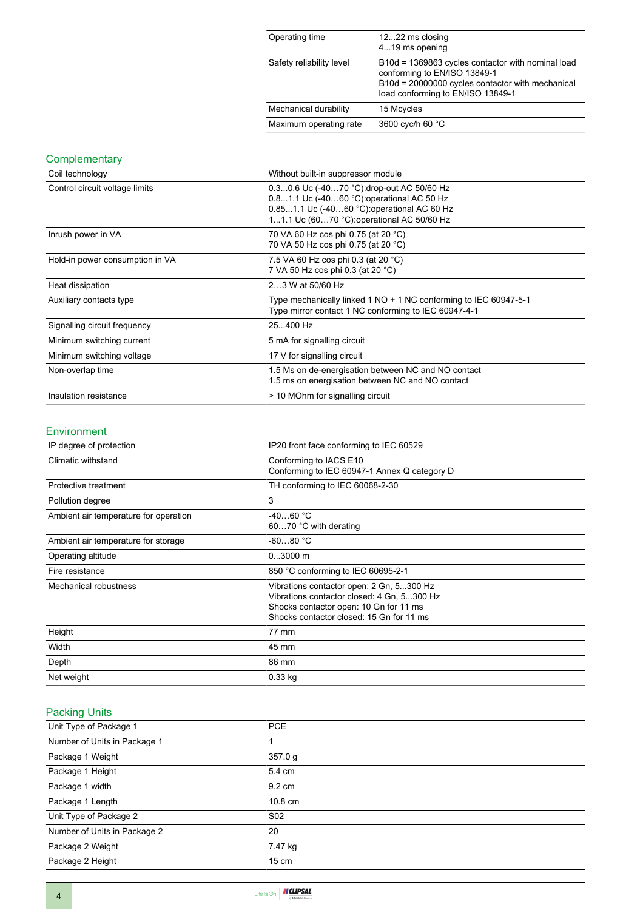| Operating time           | 1222 ms closing<br>419 ms opening                                                                                                                                          |
|--------------------------|----------------------------------------------------------------------------------------------------------------------------------------------------------------------------|
| Safety reliability level | B10d = 1369863 cycles contactor with nominal load<br>conforming to EN/ISO 13849-1<br>B10d = 20000000 cycles contactor with mechanical<br>load conforming to EN/ISO 13849-1 |
| Mechanical durability    | 15 Mcycles                                                                                                                                                                 |
| Maximum operating rate   | 3600 cyc/h 60 °C                                                                                                                                                           |

### **Complementary**

| Coil technology                 | Without built-in suppressor module                                                                                                                                                   |
|---------------------------------|--------------------------------------------------------------------------------------------------------------------------------------------------------------------------------------|
| Control circuit voltage limits  | 0.30.6 Uc (-4070 °C): drop-out AC 50/60 Hz<br>0.81.1 Uc (-4060 °C) operational AC 50 Hz<br>0.851.1 Uc (-4060 °C): operational AC 60 Hz<br>11.1 Uc (6070 °C): operational AC 50/60 Hz |
| Inrush power in VA              | 70 VA 60 Hz cos phi 0.75 (at 20 °C)<br>70 VA 50 Hz cos phi 0.75 (at 20 °C)                                                                                                           |
| Hold-in power consumption in VA | 7.5 VA 60 Hz cos phi 0.3 (at 20 °C)<br>7 VA 50 Hz cos phi 0.3 (at 20 °C)                                                                                                             |
| Heat dissipation                | 23 W at 50/60 Hz                                                                                                                                                                     |
| Auxiliary contacts type         | Type mechanically linked 1 NO + 1 NC conforming to IEC 60947-5-1<br>Type mirror contact 1 NC conforming to IEC 60947-4-1                                                             |
| Signalling circuit frequency    | 25400 Hz                                                                                                                                                                             |
| Minimum switching current       | 5 mA for signalling circuit                                                                                                                                                          |
| Minimum switching voltage       | 17 V for signalling circuit                                                                                                                                                          |
| Non-overlap time                | 1.5 Ms on de-energisation between NC and NO contact<br>1.5 ms on energisation between NC and NO contact                                                                              |
| Insulation resistance           | > 10 MOhm for signalling circuit                                                                                                                                                     |

#### Environment

| IP degree of protection               | IP20 front face conforming to IEC 60529                                                                                                                                      |  |
|---------------------------------------|------------------------------------------------------------------------------------------------------------------------------------------------------------------------------|--|
| Climatic withstand                    | Conforming to IACS E10<br>Conforming to IEC 60947-1 Annex Q category D                                                                                                       |  |
| Protective treatment                  | TH conforming to IEC 60068-2-30                                                                                                                                              |  |
| Pollution degree                      | 3                                                                                                                                                                            |  |
| Ambient air temperature for operation | $-4060 °C$<br>6070 °C with derating                                                                                                                                          |  |
| Ambient air temperature for storage   | $-6080 °C$                                                                                                                                                                   |  |
| Operating altitude                    | $03000$ m                                                                                                                                                                    |  |
| Fire resistance                       | 850 °C conforming to IEC 60695-2-1                                                                                                                                           |  |
| Mechanical robustness                 | Vibrations contactor open: 2 Gn, 5300 Hz<br>Vibrations contactor closed: 4 Gn, 5300 Hz<br>Shocks contactor open: 10 Gn for 11 ms<br>Shocks contactor closed: 15 Gn for 11 ms |  |
| Height                                | 77 mm                                                                                                                                                                        |  |
| Width                                 | 45 mm                                                                                                                                                                        |  |
| Depth                                 | 86 mm                                                                                                                                                                        |  |
| Net weight                            | $0.33$ kg                                                                                                                                                                    |  |

## Packing Units

| Unit Type of Package 1       | <b>PCE</b>       |
|------------------------------|------------------|
| Number of Units in Package 1 |                  |
| Package 1 Weight             | 357.0 g          |
| Package 1 Height             | 5.4 cm           |
| Package 1 width              | $9.2 \text{ cm}$ |
| Package 1 Length             | 10.8 cm          |
| Unit Type of Package 2       | S <sub>02</sub>  |
| Number of Units in Package 2 | 20               |
| Package 2 Weight             | 7.47 kg          |
| Package 2 Height             | $15 \text{ cm}$  |